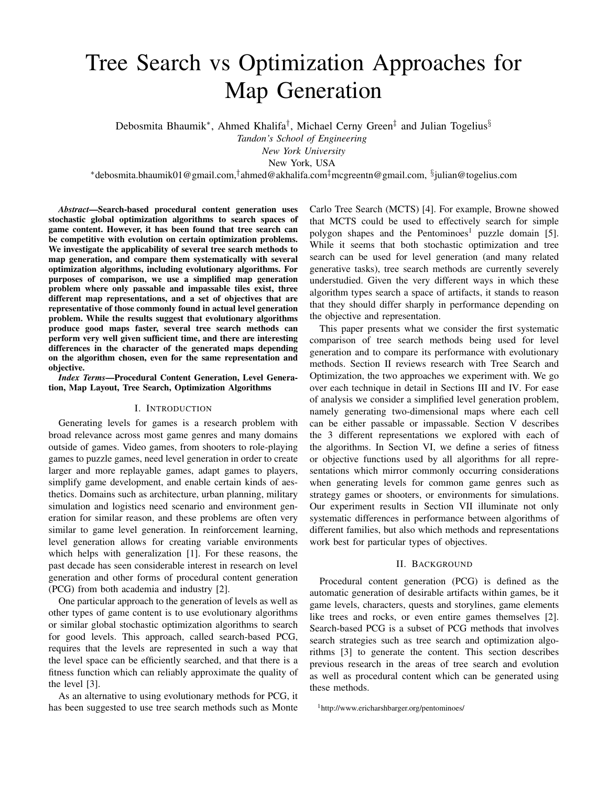# Tree Search vs Optimization Approaches for Map Generation

Debosmita Bhaumik<sup>\*</sup>, Ahmed Khalifa<sup>†</sup>, Michael Cerny Green<sup>‡</sup> and Julian Togelius<sup>§</sup>

*Tandon's School of Engineering*

*New York University*

New York, USA

<sup>∗</sup>debosmita.bhaumik01@gmail.com,† ahmed@akhalifa.com‡mcgreentn@gmail.com, § julian@togelius.com

*Abstract*—Search-based procedural content generation uses stochastic global optimization algorithms to search spaces of game content. However, it has been found that tree search can be competitive with evolution on certain optimization problems. We investigate the applicability of several tree search methods to map generation, and compare them systematically with several optimization algorithms, including evolutionary algorithms. For purposes of comparison, we use a simplified map generation problem where only passable and impassable tiles exist, three different map representations, and a set of objectives that are representative of those commonly found in actual level generation problem. While the results suggest that evolutionary algorithms produce good maps faster, several tree search methods can perform very well given sufficient time, and there are interesting differences in the character of the generated maps depending on the algorithm chosen, even for the same representation and objective.

*Index Terms*—Procedural Content Generation, Level Generation, Map Layout, Tree Search, Optimization Algorithms

#### I. INTRODUCTION

Generating levels for games is a research problem with broad relevance across most game genres and many domains outside of games. Video games, from shooters to role-playing games to puzzle games, need level generation in order to create larger and more replayable games, adapt games to players, simplify game development, and enable certain kinds of aesthetics. Domains such as architecture, urban planning, military simulation and logistics need scenario and environment generation for similar reason, and these problems are often very similar to game level generation. In reinforcement learning, level generation allows for creating variable environments which helps with generalization [1]. For these reasons, the past decade has seen considerable interest in research on level generation and other forms of procedural content generation (PCG) from both academia and industry [2].

One particular approach to the generation of levels as well as other types of game content is to use evolutionary algorithms or similar global stochastic optimization algorithms to search for good levels. This approach, called search-based PCG, requires that the levels are represented in such a way that the level space can be efficiently searched, and that there is a fitness function which can reliably approximate the quality of the level [3].

As an alternative to using evolutionary methods for PCG, it has been suggested to use tree search methods such as Monte

Carlo Tree Search (MCTS) [4]. For example, Browne showed that MCTS could be used to effectively search for simple polygon shapes and the Pentominoes<sup>1</sup> puzzle domain [5]. While it seems that both stochastic optimization and tree search can be used for level generation (and many related generative tasks), tree search methods are currently severely understudied. Given the very different ways in which these algorithm types search a space of artifacts, it stands to reason that they should differ sharply in performance depending on the objective and representation.

This paper presents what we consider the first systematic comparison of tree search methods being used for level generation and to compare its performance with evolutionary methods. Section II reviews research with Tree Search and Optimization, the two approaches we experiment with. We go over each technique in detail in Sections III and IV. For ease of analysis we consider a simplified level generation problem, namely generating two-dimensional maps where each cell can be either passable or impassable. Section V describes the 3 different representations we explored with each of the algorithms. In Section VI, we define a series of fitness or objective functions used by all algorithms for all representations which mirror commonly occurring considerations when generating levels for common game genres such as strategy games or shooters, or environments for simulations. Our experiment results in Section VII illuminate not only systematic differences in performance between algorithms of different families, but also which methods and representations work best for particular types of objectives.

#### II. BACKGROUND

Procedural content generation (PCG) is defined as the automatic generation of desirable artifacts within games, be it game levels, characters, quests and storylines, game elements like trees and rocks, or even entire games themselves [2]. Search-based PCG is a subset of PCG methods that involves search strategies such as tree search and optimization algorithms [3] to generate the content. This section describes previous research in the areas of tree search and evolution as well as procedural content which can be generated using these methods.

<sup>1</sup>http://www.ericharshbarger.org/pentominoes/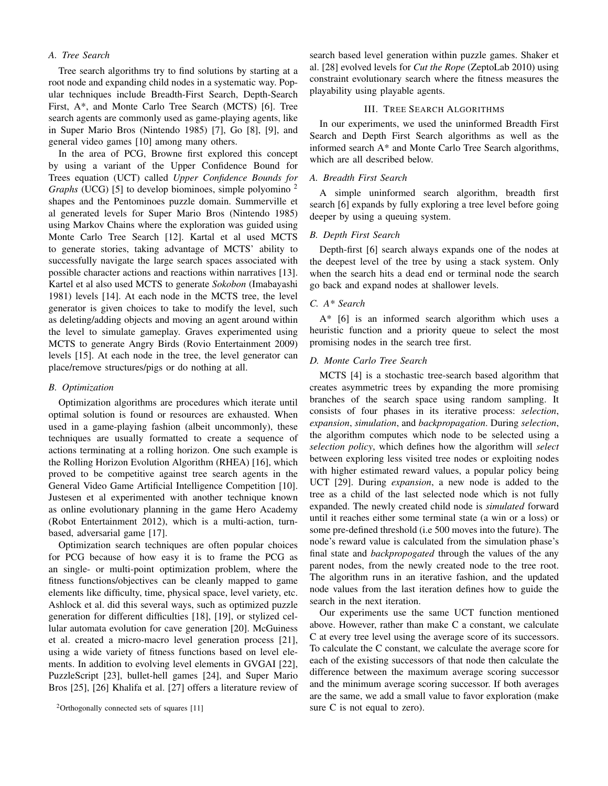# *A. Tree Search*

Tree search algorithms try to find solutions by starting at a root node and expanding child nodes in a systematic way. Popular techniques include Breadth-First Search, Depth-Search First, A\*, and Monte Carlo Tree Search (MCTS) [6]. Tree search agents are commonly used as game-playing agents, like in Super Mario Bros (Nintendo 1985) [7], Go [8], [9], and general video games [10] among many others.

In the area of PCG, Browne first explored this concept by using a variant of the Upper Confidence Bound for Trees equation (UCT) called *Upper Confidence Bounds for Graphs* (UCG) [5] to develop biominoes, simple polyomino <sup>2</sup> shapes and the Pentominoes puzzle domain. Summerville et al generated levels for Super Mario Bros (Nintendo 1985) using Markov Chains where the exploration was guided using Monte Carlo Tree Search [12]. Kartal et al used MCTS to generate stories, taking advantage of MCTS' ability to successfully navigate the large search spaces associated with possible character actions and reactions within narratives [13]. Kartel et al also used MCTS to generate *Sokobon* (Imabayashi 1981) levels [14]. At each node in the MCTS tree, the level generator is given choices to take to modify the level, such as deleting/adding objects and moving an agent around within the level to simulate gameplay. Graves experimented using MCTS to generate Angry Birds (Rovio Entertainment 2009) levels [15]. At each node in the tree, the level generator can place/remove structures/pigs or do nothing at all.

# *B. Optimization*

Optimization algorithms are procedures which iterate until optimal solution is found or resources are exhausted. When used in a game-playing fashion (albeit uncommonly), these techniques are usually formatted to create a sequence of actions terminating at a rolling horizon. One such example is the Rolling Horizon Evolution Algorithm (RHEA) [16], which proved to be competitive against tree search agents in the General Video Game Artificial Intelligence Competition [10]. Justesen et al experimented with another technique known as online evolutionary planning in the game Hero Academy (Robot Entertainment 2012), which is a multi-action, turnbased, adversarial game [17].

Optimization search techniques are often popular choices for PCG because of how easy it is to frame the PCG as an single- or multi-point optimization problem, where the fitness functions/objectives can be cleanly mapped to game elements like difficulty, time, physical space, level variety, etc. Ashlock et al. did this several ways, such as optimized puzzle generation for different difficulties [18], [19], or stylized cellular automata evolution for cave generation [20]. McGuiness et al. created a micro-macro level generation process [21], using a wide variety of fitness functions based on level elements. In addition to evolving level elements in GVGAI [22], PuzzleScript [23], bullet-hell games [24], and Super Mario Bros [25], [26] Khalifa et al. [27] offers a literature review of search based level generation within puzzle games. Shaker et al. [28] evolved levels for *Cut the Rope* (ZeptoLab 2010) using constraint evolutionary search where the fitness measures the playability using playable agents.

#### III. TREE SEARCH ALGORITHMS

In our experiments, we used the uninformed Breadth First Search and Depth First Search algorithms as well as the informed search A\* and Monte Carlo Tree Search algorithms, which are all described below.

#### *A. Breadth First Search*

A simple uninformed search algorithm, breadth first search [6] expands by fully exploring a tree level before going deeper by using a queuing system.

#### *B. Depth First Search*

Depth-first [6] search always expands one of the nodes at the deepest level of the tree by using a stack system. Only when the search hits a dead end or terminal node the search go back and expand nodes at shallower levels.

# *C. A\* Search*

A\* [6] is an informed search algorithm which uses a heuristic function and a priority queue to select the most promising nodes in the search tree first.

#### *D. Monte Carlo Tree Search*

MCTS [4] is a stochastic tree-search based algorithm that creates asymmetric trees by expanding the more promising branches of the search space using random sampling. It consists of four phases in its iterative process: *selection*, *expansion*, *simulation*, and *backpropagation*. During *selection*, the algorithm computes which node to be selected using a *selection policy*, which defines how the algorithm will *select* between exploring less visited tree nodes or exploiting nodes with higher estimated reward values, a popular policy being UCT [29]. During *expansion*, a new node is added to the tree as a child of the last selected node which is not fully expanded. The newly created child node is *simulated* forward until it reaches either some terminal state (a win or a loss) or some pre-defined threshold (i.e 500 moves into the future). The node's reward value is calculated from the simulation phase's final state and *backpropogated* through the values of the any parent nodes, from the newly created node to the tree root. The algorithm runs in an iterative fashion, and the updated node values from the last iteration defines how to guide the search in the next iteration.

Our experiments use the same UCT function mentioned above. However, rather than make C a constant, we calculate C at every tree level using the average score of its successors. To calculate the C constant, we calculate the average score for each of the existing successors of that node then calculate the difference between the maximum average scoring successor and the minimum average scoring successor. If both averages are the same, we add a small value to favor exploration (make sure C is not equal to zero).

<sup>2</sup>Orthogonally connected sets of squares [11]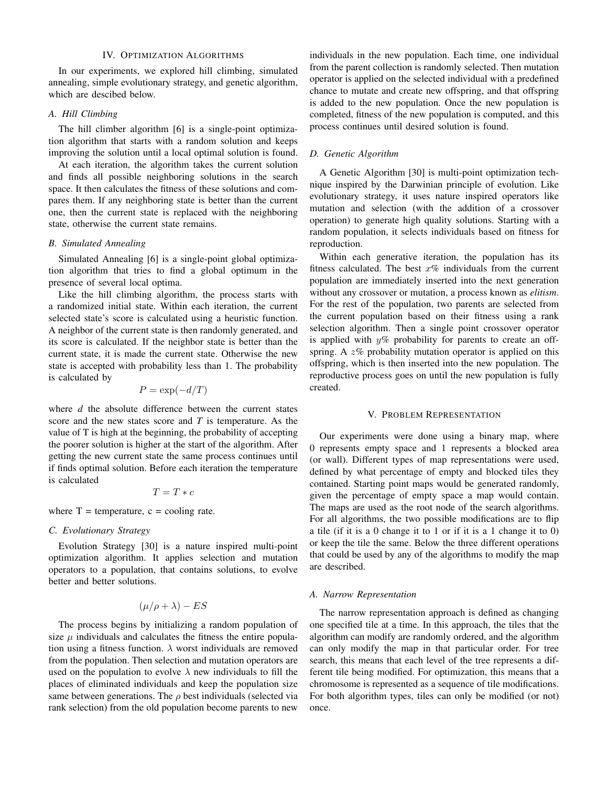# IV. OPTIMIZATION ALGORITHMS

In our experiments, we explored hill climbing, simulated annealing, simple evolutionary strategy, and genetic algorithm, which are descibed below.

# *A. Hill Climbing*

The hill climber algorithm [6] is a single-point optimization algorithm that starts with a random solution and keeps improving the solution until a local optimal solution is found.

At each iteration, the algorithm takes the current solution and finds all possible neighboring solutions in the search space. It then calculates the fitness of these solutions and compares them. If any neighboring state is better than the current one, then the current state is replaced with the neighboring state, otherwise the current state remains.

# *B. Simulated Annealing*

Simulated Annealing [6] is a single-point global optimization algorithm that tries to find a global optimum in the presence of several local optima.

Like the hill climbing algorithm, the process starts with a randomized initial state. Within each iteration, the current selected state's score is calculated using a heuristic function. A neighbor of the current state is then randomly generated, and its score is calculated. If the neighbor state is better than the current state, it is made the current state. Otherwise the new state is accepted with probability less than 1. The probability is calculated by

$$
P = \exp(-d/T)
$$

where *d* the absolute difference between the current states score and the new states score and *T* is temperature. As the value of T is high at the beginning, the probability of accepting the poorer solution is higher at the start of the algorithm. After getting the new current state the same process continues until if finds optimal solution. Before each iteration the temperature is calculated

$$
T = T * c
$$

where  $T =$  temperature,  $c =$  cooling rate.

# *C. Evolutionary Strategy*

Evolution Strategy [30] is a nature inspired multi-point optimization algorithm. It applies selection and mutation operators to a population, that contains solutions, to evolve better and better solutions.

$$
(\mu/\rho + \lambda) - ES
$$

The process begins by initializing a random population of size  $\mu$  individuals and calculates the fitness the entire population using a fitness function.  $\lambda$  worst individuals are removed from the population. Then selection and mutation operators are used on the population to evolve  $\lambda$  new individuals to fill the places of eliminated individuals and keep the population size same between generations. The  $\rho$  best individuals (selected via rank selection) from the old population become parents to new individuals in the new population. Each time, one individual from the parent collection is randomly selected. Then mutation operator is applied on the selected individual with a predefined chance to mutate and create new offspring, and that offspring is added to the new population. Once the new population is completed, fitness of the new population is computed, and this process continues until desired solution is found.

# *D. Genetic Algorithm*

A Genetic Algorithm [30] is multi-point optimization technique inspired by the Darwinian principle of evolution. Like evolutionary strategy, it uses nature inspired operators like mutation and selection (with the addition of a crossover operation) to generate high quality solutions. Starting with a random population, it selects individuals based on fitness for reproduction.

Within each generative iteration, the population has its fitness calculated. The best  $x\%$  individuals from the current population are immediately inserted into the next generation without any crossover or mutation, a process known as *elitism*. For the rest of the population, two parents are selected from the current population based on their fitness using a rank selection algorithm. Then a single point crossover operator is applied with  $y\%$  probability for parents to create an offspring. A  $z\%$  probability mutation operator is applied on this offspring, which is then inserted into the new population. The reproductive process goes on until the new population is fully created.

#### V. PROBLEM REPRESENTATION

Our experiments were done using a binary map, where 0 represents empty space and 1 represents a blocked area (or wall). Different types of map representations were used, defined by what percentage of empty and blocked tiles they contained. Starting point maps would be generated randomly, given the percentage of empty space a map would contain. The maps are used as the root node of the search algorithms. For all algorithms, the two possible modifications are to flip a tile (if it is a 0 change it to 1 or if it is a 1 change it to 0) or keep the tile the same. Below the three different operations that could be used by any of the algorithms to modify the map are described.

#### *A. Narrow Representation*

The narrow representation approach is defined as changing one specified tile at a time. In this approach, the tiles that the algorithm can modify are randomly ordered, and the algorithm can only modify the map in that particular order. For tree search, this means that each level of the tree represents a different tile being modified. For optimization, this means that a chromosome is represented as a sequence of tile modifications. For both algorithm types, tiles can only be modified (or not) once.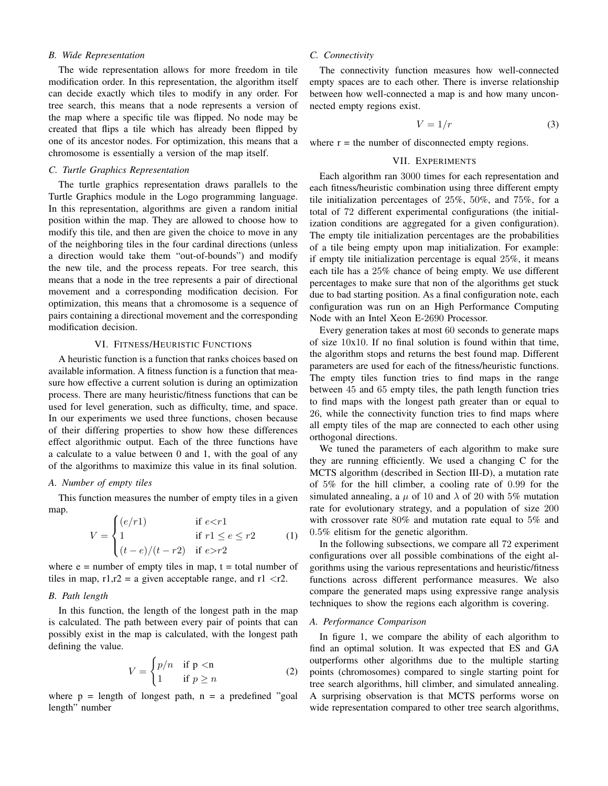# *B. Wide Representation*

The wide representation allows for more freedom in tile modification order. In this representation, the algorithm itself can decide exactly which tiles to modify in any order. For tree search, this means that a node represents a version of the map where a specific tile was flipped. No node may be created that flips a tile which has already been flipped by one of its ancestor nodes. For optimization, this means that a chromosome is essentially a version of the map itself.

# *C. Turtle Graphics Representation*

The turtle graphics representation draws parallels to the Turtle Graphics module in the Logo programming language. In this representation, algorithms are given a random initial position within the map. They are allowed to choose how to modify this tile, and then are given the choice to move in any of the neighboring tiles in the four cardinal directions (unless a direction would take them "out-of-bounds") and modify the new tile, and the process repeats. For tree search, this means that a node in the tree represents a pair of directional movement and a corresponding modification decision. For optimization, this means that a chromosome is a sequence of pairs containing a directional movement and the corresponding modification decision.

# VI. FITNESS/HEURISTIC FUNCTIONS

A heuristic function is a function that ranks choices based on available information. A fitness function is a function that measure how effective a current solution is during an optimization process. There are many heuristic/fitness functions that can be used for level generation, such as difficulty, time, and space. In our experiments we used three functions, chosen because of their differing properties to show how these differences effect algorithmic output. Each of the three functions have a calculate to a value between 0 and 1, with the goal of any of the algorithms to maximize this value in its final solution.

# *A. Number of empty tiles*

This function measures the number of empty tiles in a given map.

$$
V = \begin{cases} (e/r1) & \text{if } e < r1 \\ 1 & \text{if } r1 \le e \le r2 \\ (t-e)/(t-r2) & \text{if } e > r2 \end{cases}
$$
 (1)

where  $e =$  number of empty tiles in map,  $t =$  total number of tiles in map,  $r1, r2 = a$  given acceptable range, and  $r1 < r2$ .

# *B. Path length*

In this function, the length of the longest path in the map is calculated. The path between every pair of points that can possibly exist in the map is calculated, with the longest path defining the value.

$$
V = \begin{cases} p/n & \text{if } p < n \\ 1 & \text{if } p \ge n \end{cases}
$$
 (2)

where  $p =$  length of longest path,  $n = a$  predefined "goal" length" number

# *C. Connectivity*

The connectivity function measures how well-connected empty spaces are to each other. There is inverse relationship between how well-connected a map is and how many unconnected empty regions exist.

$$
V = 1/r \tag{3}
$$

where  $r =$  the number of disconnected empty regions.

## VII. EXPERIMENTS

Each algorithm ran 3000 times for each representation and each fitness/heuristic combination using three different empty tile initialization percentages of 25%, 50%, and 75%, for a total of 72 different experimental configurations (the initialization conditions are aggregated for a given configuration). The empty tile initialization percentages are the probabilities of a tile being empty upon map initialization. For example: if empty tile initialization percentage is equal 25%, it means each tile has a 25% chance of being empty. We use different percentages to make sure that non of the algorithms get stuck due to bad starting position. As a final configuration note, each configuration was run on an High Performance Computing Node with an Intel Xeon E-2690 Processor.

Every generation takes at most 60 seconds to generate maps of size 10x10. If no final solution is found within that time, the algorithm stops and returns the best found map. Different parameters are used for each of the fitness/heuristic functions. The empty tiles function tries to find maps in the range between 45 and 65 empty tiles, the path length function tries to find maps with the longest path greater than or equal to 26, while the connectivity function tries to find maps where all empty tiles of the map are connected to each other using orthogonal directions.

We tuned the parameters of each algorithm to make sure they are running efficiently. We used a changing C for the MCTS algorithm (described in Section III-D), a mutation rate of 5% for the hill climber, a cooling rate of 0.99 for the simulated annealing, a  $\mu$  of 10 and  $\lambda$  of 20 with 5% mutation rate for evolutionary strategy, and a population of size 200 with crossover rate 80% and mutation rate equal to 5% and 0.5% elitism for the genetic algorithm.

In the following subsections, we compare all 72 experiment configurations over all possible combinations of the eight algorithms using the various representations and heuristic/fitness functions across different performance measures. We also compare the generated maps using expressive range analysis techniques to show the regions each algorithm is covering.

# *A. Performance Comparison*

In figure 1, we compare the ability of each algorithm to find an optimal solution. It was expected that ES and GA outperforms other algorithms due to the multiple starting points (chromosomes) compared to single starting point for tree search algorithms, hill climber, and simulated annealing. A surprising observation is that MCTS performs worse on wide representation compared to other tree search algorithms,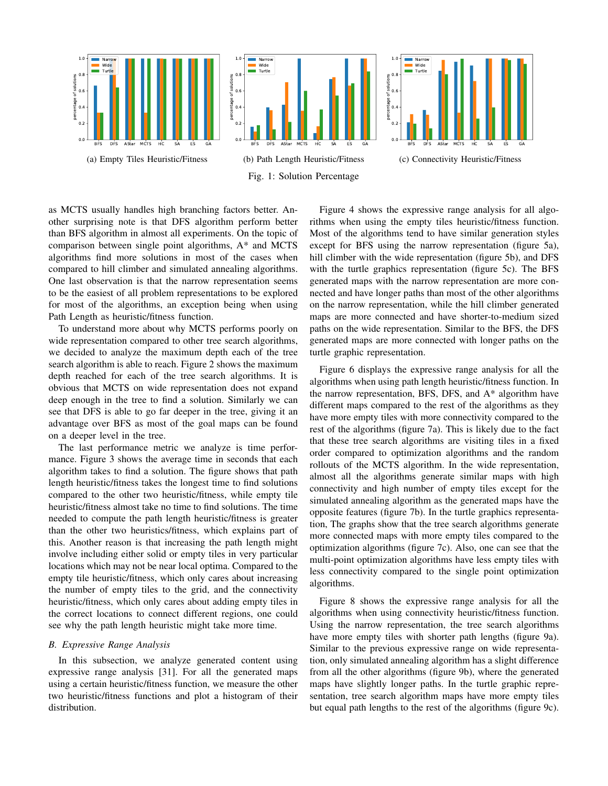

as MCTS usually handles high branching factors better. Another surprising note is that DFS algorithm perform better than BFS algorithm in almost all experiments. On the topic of comparison between single point algorithms, A\* and MCTS algorithms find more solutions in most of the cases when compared to hill climber and simulated annealing algorithms. One last observation is that the narrow representation seems to be the easiest of all problem representations to be explored for most of the algorithms, an exception being when using Path Length as heuristic/fitness function.

To understand more about why MCTS performs poorly on wide representation compared to other tree search algorithms, we decided to analyze the maximum depth each of the tree search algorithm is able to reach. Figure 2 shows the maximum depth reached for each of the tree search algorithms. It is obvious that MCTS on wide representation does not expand deep enough in the tree to find a solution. Similarly we can see that DFS is able to go far deeper in the tree, giving it an advantage over BFS as most of the goal maps can be found on a deeper level in the tree.

The last performance metric we analyze is time performance. Figure 3 shows the average time in seconds that each algorithm takes to find a solution. The figure shows that path length heuristic/fitness takes the longest time to find solutions compared to the other two heuristic/fitness, while empty tile heuristic/fitness almost take no time to find solutions. The time needed to compute the path length heuristic/fitness is greater than the other two heuristics/fitness, which explains part of this. Another reason is that increasing the path length might involve including either solid or empty tiles in very particular locations which may not be near local optima. Compared to the empty tile heuristic/fitness, which only cares about increasing the number of empty tiles to the grid, and the connectivity heuristic/fitness, which only cares about adding empty tiles in the correct locations to connect different regions, one could see why the path length heuristic might take more time.

# *B. Expressive Range Analysis*

In this subsection, we analyze generated content using expressive range analysis [31]. For all the generated maps using a certain heuristic/fitness function, we measure the other two heuristic/fitness functions and plot a histogram of their distribution.

Figure 4 shows the expressive range analysis for all algorithms when using the empty tiles heuristic/fitness function. Most of the algorithms tend to have similar generation styles except for BFS using the narrow representation (figure 5a), hill climber with the wide representation (figure 5b), and DFS with the turtle graphics representation (figure 5c). The BFS generated maps with the narrow representation are more connected and have longer paths than most of the other algorithms on the narrow representation, while the hill climber generated maps are more connected and have shorter-to-medium sized paths on the wide representation. Similar to the BFS, the DFS generated maps are more connected with longer paths on the turtle graphic representation.

Figure 6 displays the expressive range analysis for all the algorithms when using path length heuristic/fitness function. In the narrow representation, BFS, DFS, and A\* algorithm have different maps compared to the rest of the algorithms as they have more empty tiles with more connectivity compared to the rest of the algorithms (figure 7a). This is likely due to the fact that these tree search algorithms are visiting tiles in a fixed order compared to optimization algorithms and the random rollouts of the MCTS algorithm. In the wide representation, almost all the algorithms generate similar maps with high connectivity and high number of empty tiles except for the simulated annealing algorithm as the generated maps have the opposite features (figure 7b). In the turtle graphics representation, The graphs show that the tree search algorithms generate more connected maps with more empty tiles compared to the optimization algorithms (figure 7c). Also, one can see that the multi-point optimization algorithms have less empty tiles with less connectivity compared to the single point optimization algorithms.

Figure 8 shows the expressive range analysis for all the algorithms when using connectivity heuristic/fitness function. Using the narrow representation, the tree search algorithms have more empty tiles with shorter path lengths (figure 9a). Similar to the previous expressive range on wide representation, only simulated annealing algorithm has a slight difference from all the other algorithms (figure 9b), where the generated maps have slightly longer paths. In the turtle graphic representation, tree search algorithm maps have more empty tiles but equal path lengths to the rest of the algorithms (figure 9c).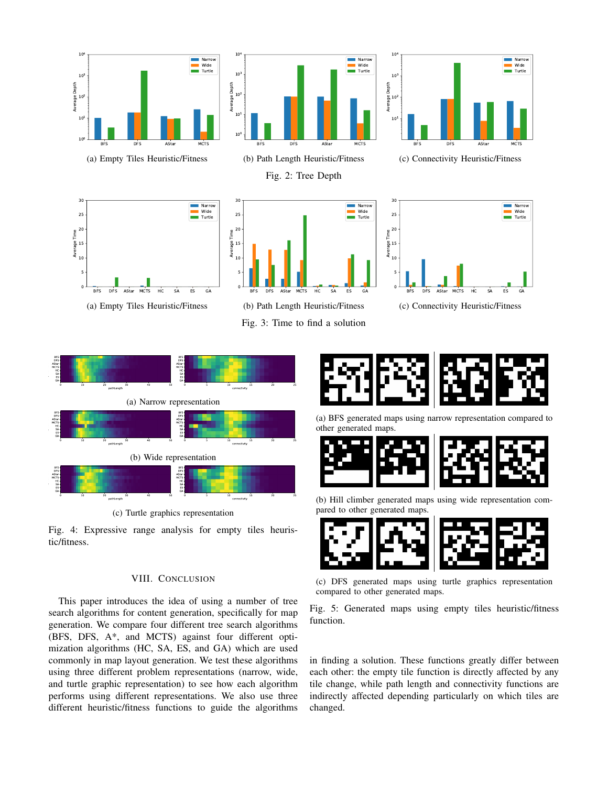

(a) Empty Tiles Heuristic/Fitness



(b) Path Length Heuristic/Fitness

Fig. 2: Tree Depth



(c) Connectivity Heuristic/Fitness



(a) Empty Tiles Heuristic/Fitness



(b) Path Length Heuristic/Fitness Fig. 3: Time to find a solution



(c) Connectivity Heuristic/Fitness



(c) Turtle graphics representation

Fig. 4: Expressive range analysis for empty tiles heuristic/fitness.

# VIII. CONCLUSION

This paper introduces the idea of using a number of tree search algorithms for content generation, specifically for map generation. We compare four different tree search algorithms (BFS, DFS, A\*, and MCTS) against four different optimization algorithms (HC, SA, ES, and GA) which are used commonly in map layout generation. We test these algorithms using three different problem representations (narrow, wide, and turtle graphic representation) to see how each algorithm performs using different representations. We also use three different heuristic/fitness functions to guide the algorithms



(a) BFS generated maps using narrow representation compared to other generated maps.



(b) Hill climber generated maps using wide representation compared to other generated maps.



(c) DFS generated maps using turtle graphics representation compared to other generated maps.

Fig. 5: Generated maps using empty tiles heuristic/fitness function.

in finding a solution. These functions greatly differ between each other: the empty tile function is directly affected by any tile change, while path length and connectivity functions are indirectly affected depending particularly on which tiles are changed.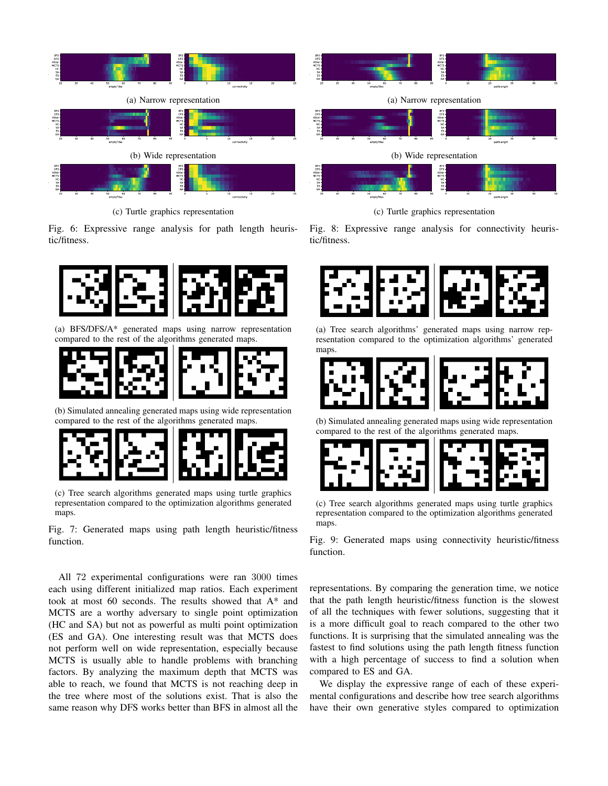

(c) Turtle graphics representation

Fig. 6: Expressive range analysis for path length heuristic/fitness.



(a) BFS/DFS/A\* generated maps using narrow representation compared to the rest of the algorithms generated maps.



(b) Simulated annealing generated maps using wide representation compared to the rest of the algorithms generated maps.



(c) Tree search algorithms generated maps using turtle graphics representation compared to the optimization algorithms generated maps.

Fig. 7: Generated maps using path length heuristic/fitness function.

All 72 experimental configurations were ran 3000 times each using different initialized map ratios. Each experiment took at most 60 seconds. The results showed that A\* and MCTS are a worthy adversary to single point optimization (HC and SA) but not as powerful as multi point optimization (ES and GA). One interesting result was that MCTS does not perform well on wide representation, especially because MCTS is usually able to handle problems with branching factors. By analyzing the maximum depth that MCTS was able to reach, we found that MCTS is not reaching deep in the tree where most of the solutions exist. That is also the same reason why DFS works better than BFS in almost all the



(c) Turtle graphics representation

Fig. 8: Expressive range analysis for connectivity heuristic/fitness.



(a) Tree search algorithms' generated maps using narrow representation compared to the optimization algorithms' generated maps.



(b) Simulated annealing generated maps using wide representation compared to the rest of the algorithms generated maps.



(c) Tree search algorithms generated maps using turtle graphics representation compared to the optimization algorithms generated maps.

Fig. 9: Generated maps using connectivity heuristic/fitness function.

representations. By comparing the generation time, we notice that the path length heuristic/fitness function is the slowest of all the techniques with fewer solutions, suggesting that it is a more difficult goal to reach compared to the other two functions. It is surprising that the simulated annealing was the fastest to find solutions using the path length fitness function with a high percentage of success to find a solution when compared to ES and GA.

We display the expressive range of each of these experimental configurations and describe how tree search algorithms have their own generative styles compared to optimization